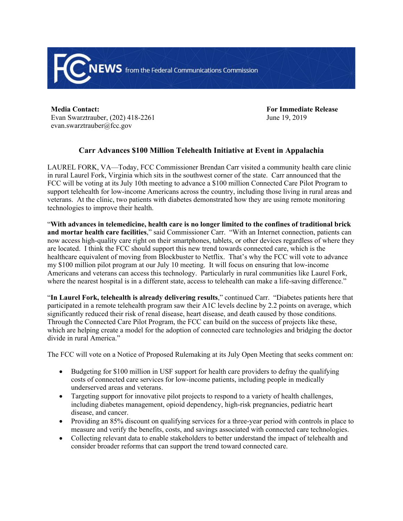

**Media Contact:** Evan Swarztrauber, (202) 418-2261 evan.swarztrauber@fcc.gov

**For Immediate Release** June 19, 2019

## **Carr Advances \$100 Million Telehealth Initiative at Event in Appalachia**

LAUREL FORK, VA—Today, FCC Commissioner Brendan Carr visited a community health care clinic in rural Laurel Fork, Virginia which sits in the southwest corner of the state. Carr announced that the FCC will be voting at its July 10th meeting to advance a \$100 million Connected Care Pilot Program to support telehealth for low-income Americans across the country, including those living in rural areas and veterans. At the clinic, two patients with diabetes demonstrated how they are using remote monitoring technologies to improve their health.

"**With advances in telemedicine, health care is no longer limited to the confines of traditional brick and mortar health care facilities**," said Commissioner Carr. "With an Internet connection, patients can now access high-quality care right on their smartphones, tablets, or other devices regardless of where they are located. I think the FCC should support this new trend towards connected care, which is the healthcare equivalent of moving from Blockbuster to Netflix. That's why the FCC will vote to advance my \$100 million pilot program at our July 10 meeting. It will focus on ensuring that low-income Americans and veterans can access this technology. Particularly in rural communities like Laurel Fork, where the nearest hospital is in a different state, access to telehealth can make a life-saving difference."

"**In Laurel Fork, telehealth is already delivering results**," continued Carr. "Diabetes patients here that participated in a remote telehealth program saw their A1C levels decline by 2.2 points on average, which significantly reduced their risk of renal disease, heart disease, and death caused by those conditions. Through the Connected Care Pilot Program, the FCC can build on the success of projects like these, which are helping create a model for the adoption of connected care technologies and bridging the doctor divide in rural America."

The FCC will vote on a Notice of Proposed Rulemaking at its July Open Meeting that seeks comment on:

- Budgeting for \$100 million in USF support for health care providers to defray the qualifying costs of connected care services for low-income patients, including people in medically underserved areas and veterans.
- Targeting support for innovative pilot projects to respond to a variety of health challenges, including diabetes management, opioid dependency, high-risk pregnancies, pediatric heart disease, and cancer.
- Providing an 85% discount on qualifying services for a three-year period with controls in place to measure and verify the benefits, costs, and savings associated with connected care technologies.
- Collecting relevant data to enable stakeholders to better understand the impact of telehealth and consider broader reforms that can support the trend toward connected care.